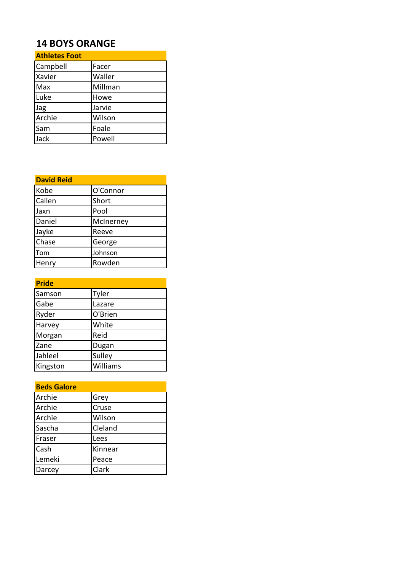## **14 BOYS ORANGE**

| <b>Athletes Foot</b> |         |
|----------------------|---------|
| Campbell             | Facer   |
| Xavier               | Waller  |
| Max                  | Millman |
| Luke                 | Howe    |
| Jag                  | Jarvie  |
| Archie               | Wilson  |
| Sam                  | Foale   |
| Jack                 | Powell  |

| <b>David Reid</b> |           |
|-------------------|-----------|
| Kobe              | O'Connor  |
| Callen            | Short     |
| Jaxn              | Pool      |
| Daniel            | McInerney |
| Jayke             | Reeve     |
| Chase             | George    |
| Tom               | Johnson   |
| Henry             | Rowden    |

| <b>Pride</b> |          |
|--------------|----------|
| Samson       | Tyler    |
| Gabe         | Lazare   |
| Ryder        | O'Brien  |
| Harvey       | White    |
| Morgan       | Reid     |
| Zane         | Dugan    |
| Jahleel      | Sulley   |
| Kingston     | Williams |

| <b>Beds Galore</b> |         |
|--------------------|---------|
| Archie             | Grey    |
| Archie             | Cruse   |
| Archie             | Wilson  |
| Sascha             | Cleland |
| Fraser             | Lees    |
| Cash               | Kinnear |
| Lemeki             | Peace   |
| Darcey             | Clark   |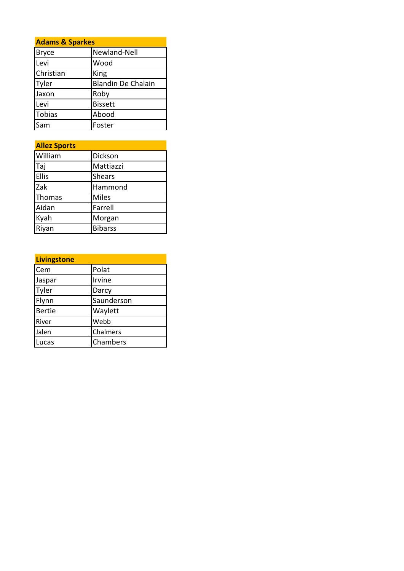| <b>Adams &amp; Sparkes</b> |                           |
|----------------------------|---------------------------|
| <b>Bryce</b>               | Newland-Nell              |
| Levi                       | Wood                      |
| Christian                  | King                      |
| Tyler                      | <b>Blandin De Chalain</b> |
| Jaxon                      | Roby                      |
| Levi                       | <b>Bissett</b>            |
| <b>Tobias</b>              | Abood                     |
| Sam                        | Foster                    |

| <b>Allez Sports</b> |                |
|---------------------|----------------|
| William             | Dickson        |
| Taj                 | Mattiazzi      |
| <b>Ellis</b>        | <b>Shears</b>  |
| Zak                 | Hammond        |
| Thomas              | <b>Miles</b>   |
| Aidan               | Farrell        |
| Kyah                | Morgan         |
| Riyan               | <b>Bibarss</b> |

| <b>Livingstone</b> |            |
|--------------------|------------|
| Cem                | Polat      |
| Jaspar             | Irvine     |
| Tyler              | Darcy      |
| Flynn              | Saunderson |
| Bertie             | Waylett    |
| River              | Webb       |
| Jalen              | Chalmers   |
| Lucas              | Chambers   |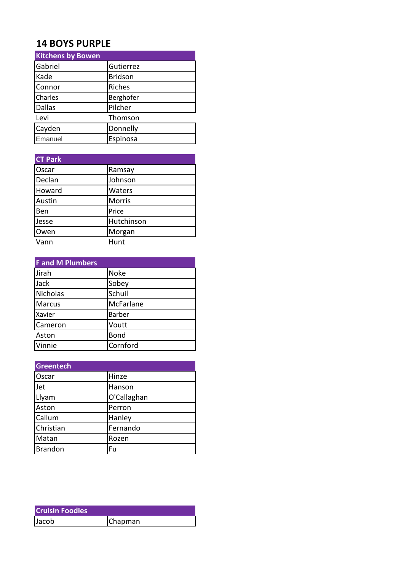## **14 BOYS PURPLE**

| <b>Kitchens by Bowen</b> |                |
|--------------------------|----------------|
| Gabriel                  | Gutierrez      |
| Kade                     | <b>Bridson</b> |
| Connor                   | Riches         |
| Charles                  | Berghofer      |
| <b>Dallas</b>            | Pilcher        |
| Levi                     | Thomson        |
| Cayden                   | Donnelly       |
| Emanuel                  | Espinosa       |

| <b>CT Park</b> |            |
|----------------|------------|
| Oscar          | Ramsay     |
| Declan         | Johnson    |
| Howard         | Waters     |
| Austin         | Morris     |
| Ben            | Price      |
| Jesse          | Hutchinson |
| Owen           | Morgan     |
| Vann           | Hunt       |

| <b>F</b> and M Plumbers |               |
|-------------------------|---------------|
| Jirah                   | <b>Noke</b>   |
| Jack                    | Sobey         |
| Nicholas                | Schuil        |
| <b>Marcus</b>           | McFarlane     |
| Xavier                  | <b>Barber</b> |
| Cameron                 | Voutt         |
| Aston                   | <b>Bond</b>   |
| Vinnie                  | Cornford      |

| Greentech      |             |
|----------------|-------------|
| Oscar          | Hinze       |
| Jet            | Hanson      |
| Llyam          | O'Callaghan |
| Aston          | Perron      |
| Callum         | Hanley      |
| Christian      | Fernando    |
| Matan          | Rozen       |
| <b>Brandon</b> | Fu          |

| <b>Cruisin Foodies</b> |         |
|------------------------|---------|
| Jacob                  | Chapman |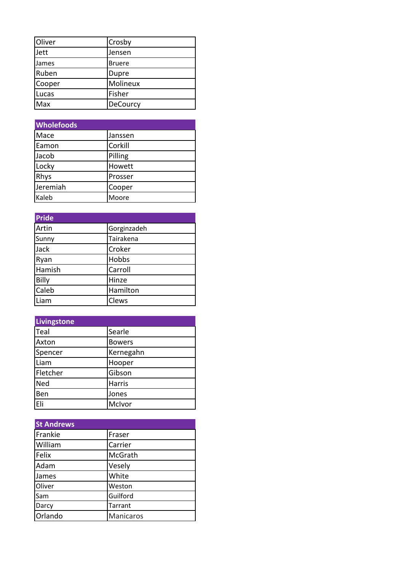| Oliver | Crosby        |
|--------|---------------|
| Jett   | Jensen        |
| James  | <b>Bruere</b> |
| Ruben  | Dupre         |
| Cooper | Molineux      |
| Lucas  | Fisher        |
| Max    | DeCourcy      |

| <b>Wholefoods</b> |         |
|-------------------|---------|
| Mace              | Janssen |
| Eamon             | Corkill |
| Jacob             | Pilling |
| Locky             | Howett  |
| <b>Rhys</b>       | Prosser |
| Jeremiah          | Cooper  |
| Kaleb             | Moore   |

| <b>Pride</b> |             |
|--------------|-------------|
| Artin        | Gorginzadeh |
| Sunny        | Tairakena   |
| Jack         | Croker      |
| Ryan         | Hobbs       |
| Hamish       | Carroll     |
| <b>Billy</b> | Hinze       |
| Caleb        | Hamilton    |
| Liam         | Clews       |

| <b>Livingstone</b> |               |
|--------------------|---------------|
| Teal               | Searle        |
| Axton              | <b>Bowers</b> |
| Spencer            | Kernegahn     |
| Liam               | Hooper        |
| Fletcher           | Gibson        |
| Ned                | Harris        |
| Ben                | Jones         |
| Eli                | McIvor        |

| <b>St Andrews</b> |                |
|-------------------|----------------|
| Frankie           | Fraser         |
| William           | Carrier        |
| Felix             | McGrath        |
| Adam              | Vesely         |
| James             | White          |
| Oliver            | Weston         |
| Sam               | Guilford       |
| Darcy             | <b>Tarrant</b> |
| Orlando           | Manicaros      |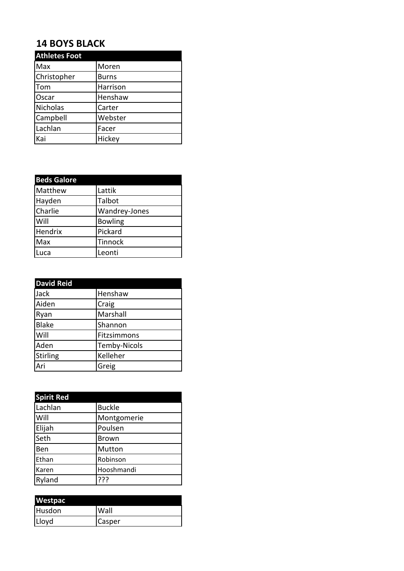## **14 BOYS BLACK**

| <b>Athletes Foot</b> |              |
|----------------------|--------------|
| Max                  | Moren        |
| Christopher          | <b>Burns</b> |
| Tom                  | Harrison     |
| Oscar                | Henshaw      |
| Nicholas             | Carter       |
| Campbell             | Webster      |
| Lachlan              | Facer        |
| Kai                  | Hickey       |

| <b>Beds Galore</b> |                |
|--------------------|----------------|
| Matthew            | Lattik         |
| Hayden             | Talbot         |
| Charlie            | Wandrey-Jones  |
| Will               | <b>Bowling</b> |
| Hendrix            | Pickard        |
| Max                | Tinnock        |
| Luca               | Leonti         |

| <b>David Reid</b> |                     |
|-------------------|---------------------|
| Jack              | Henshaw             |
| Aiden             | Craig               |
| Ryan              | Marshall            |
| <b>Blake</b>      | Shannon             |
| Will              | Fitzsimmons         |
| Aden              | <b>Temby-Nicols</b> |
| Stirling          | Kelleher            |
| Ari               | Greig               |

| <b>Spirit Red</b> |               |
|-------------------|---------------|
| Lachlan           | <b>Buckle</b> |
| Will              | Montgomerie   |
| Elijah            | Poulsen       |
| Seth              | <b>Brown</b>  |
| Ben               | Mutton        |
| Ethan             | Robinson      |
| Karen             | Hooshmandi    |
| Ryland            | ???           |

| <b>Westpac</b> |        |
|----------------|--------|
| Husdon         | Wall   |
| Lloyd          | Casper |